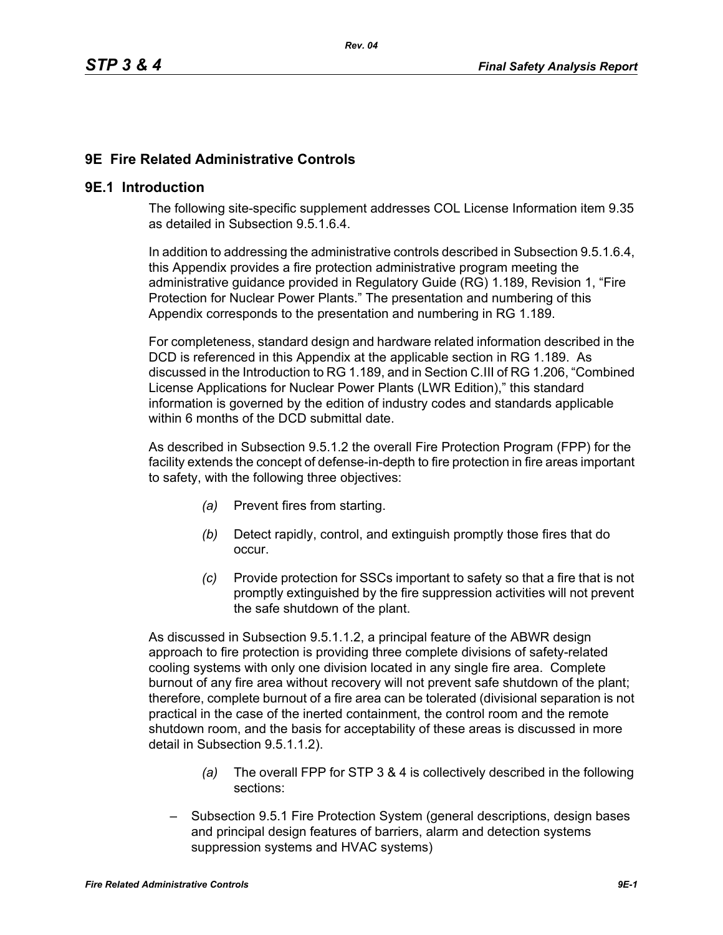# **9E Fire Related Administrative Controls**

### **9E.1 Introduction**

The following site-specific supplement addresses COL License Information item 9.35 as detailed in Subsection 9.5.1.6.4.

In addition to addressing the administrative controls described in Subsection 9.5.1.6.4, this Appendix provides a fire protection administrative program meeting the administrative guidance provided in Regulatory Guide (RG) 1.189, Revision 1, "Fire Protection for Nuclear Power Plants." The presentation and numbering of this Appendix corresponds to the presentation and numbering in RG 1.189.

For completeness, standard design and hardware related information described in the DCD is referenced in this Appendix at the applicable section in RG 1.189. As discussed in the Introduction to RG 1.189, and in Section C.III of RG 1.206, "Combined License Applications for Nuclear Power Plants (LWR Edition)," this standard information is governed by the edition of industry codes and standards applicable within 6 months of the DCD submittal date.

As described in Subsection 9.5.1.2 the overall Fire Protection Program (FPP) for the facility extends the concept of defense-in-depth to fire protection in fire areas important to safety, with the following three objectives:

- *(a)* Prevent fires from starting.
- *(b)* Detect rapidly, control, and extinguish promptly those fires that do occur.
- *(c)* Provide protection for SSCs important to safety so that a fire that is not promptly extinguished by the fire suppression activities will not prevent the safe shutdown of the plant.

As discussed in Subsection 9.5.1.1.2, a principal feature of the ABWR design approach to fire protection is providing three complete divisions of safety-related cooling systems with only one division located in any single fire area. Complete burnout of any fire area without recovery will not prevent safe shutdown of the plant; therefore, complete burnout of a fire area can be tolerated (divisional separation is not practical in the case of the inerted containment, the control room and the remote shutdown room, and the basis for acceptability of these areas is discussed in more detail in Subsection 9.5.1.1.2).

- *(a)* The overall FPP for STP 3 & 4 is collectively described in the following sections:
- Subsection 9.5.1 Fire Protection System (general descriptions, design bases and principal design features of barriers, alarm and detection systems suppression systems and HVAC systems)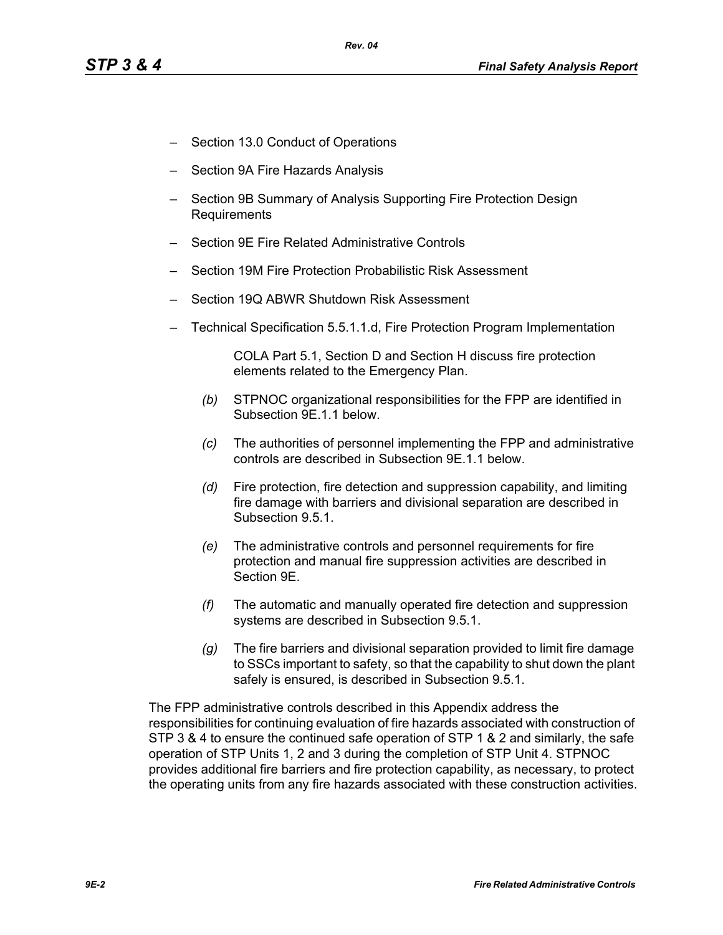- Section 13.0 Conduct of Operations
- Section 9A Fire Hazards Analysis
- Section 9B Summary of Analysis Supporting Fire Protection Design Requirements
- Section 9E Fire Related Administrative Controls
- Section 19M Fire Protection Probabilistic Risk Assessment
- Section 19Q ABWR Shutdown Risk Assessment
- Technical Specification 5.5.1.1.d, Fire Protection Program Implementation

COLA Part 5.1, Section D and Section H discuss fire protection elements related to the Emergency Plan.

- *(b)* STPNOC organizational responsibilities for the FPP are identified in Subsection 9E.1.1 below.
- *(c)* The authorities of personnel implementing the FPP and administrative controls are described in Subsection 9E.1.1 below.
- *(d)* Fire protection, fire detection and suppression capability, and limiting fire damage with barriers and divisional separation are described in Subsection 9.5.1.
- *(e)* The administrative controls and personnel requirements for fire protection and manual fire suppression activities are described in Section 9E.
- *(f)* The automatic and manually operated fire detection and suppression systems are described in Subsection 9.5.1.
- *(g)* The fire barriers and divisional separation provided to limit fire damage to SSCs important to safety, so that the capability to shut down the plant safely is ensured, is described in Subsection 9.5.1.

The FPP administrative controls described in this Appendix address the responsibilities for continuing evaluation of fire hazards associated with construction of STP 3 & 4 to ensure the continued safe operation of STP 1 & 2 and similarly, the safe operation of STP Units 1, 2 and 3 during the completion of STP Unit 4. STPNOC provides additional fire barriers and fire protection capability, as necessary, to protect the operating units from any fire hazards associated with these construction activities.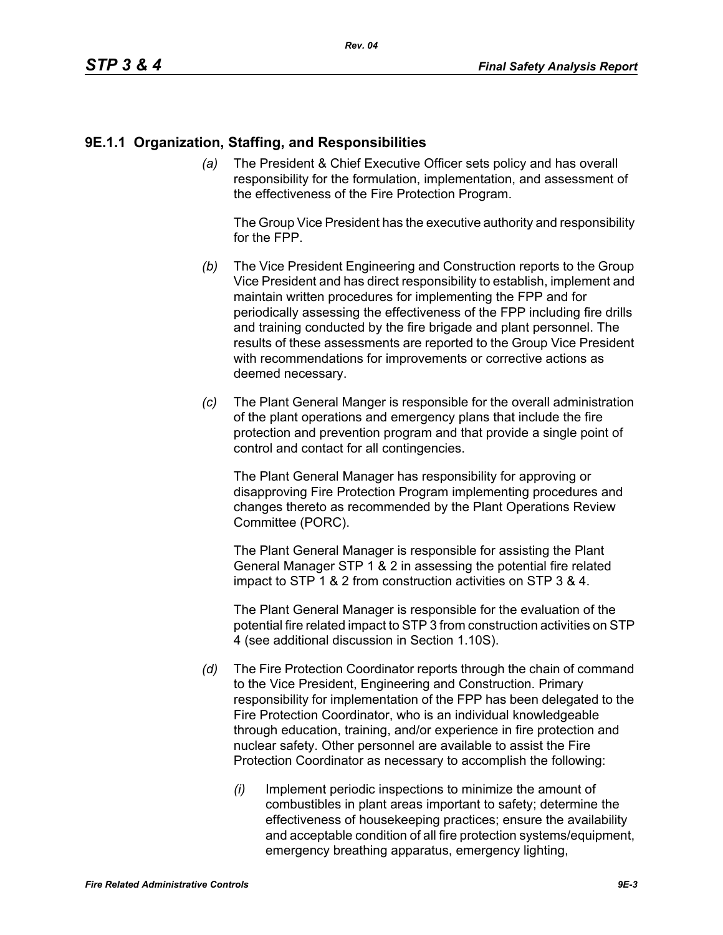### **9E.1.1 Organization, Staffing, and Responsibilities**

*(a)* The President & Chief Executive Officer sets policy and has overall responsibility for the formulation, implementation, and assessment of the effectiveness of the Fire Protection Program.

The Group Vice President has the executive authority and responsibility for the FPP.

- *(b)* The Vice President Engineering and Construction reports to the Group Vice President and has direct responsibility to establish, implement and maintain written procedures for implementing the FPP and for periodically assessing the effectiveness of the FPP including fire drills and training conducted by the fire brigade and plant personnel. The results of these assessments are reported to the Group Vice President with recommendations for improvements or corrective actions as deemed necessary.
- *(c)* The Plant General Manger is responsible for the overall administration of the plant operations and emergency plans that include the fire protection and prevention program and that provide a single point of control and contact for all contingencies.

The Plant General Manager has responsibility for approving or disapproving Fire Protection Program implementing procedures and changes thereto as recommended by the Plant Operations Review Committee (PORC).

The Plant General Manager is responsible for assisting the Plant General Manager STP 1 & 2 in assessing the potential fire related impact to STP 1 & 2 from construction activities on STP 3 & 4.

The Plant General Manager is responsible for the evaluation of the potential fire related impact to STP 3 from construction activities on STP 4 (see additional discussion in Section 1.10S).

- *(d)* The Fire Protection Coordinator reports through the chain of command to the Vice President, Engineering and Construction. Primary responsibility for implementation of the FPP has been delegated to the Fire Protection Coordinator, who is an individual knowledgeable through education, training, and/or experience in fire protection and nuclear safety. Other personnel are available to assist the Fire Protection Coordinator as necessary to accomplish the following:
	- *(i)* Implement periodic inspections to minimize the amount of combustibles in plant areas important to safety; determine the effectiveness of housekeeping practices; ensure the availability and acceptable condition of all fire protection systems/equipment, emergency breathing apparatus, emergency lighting,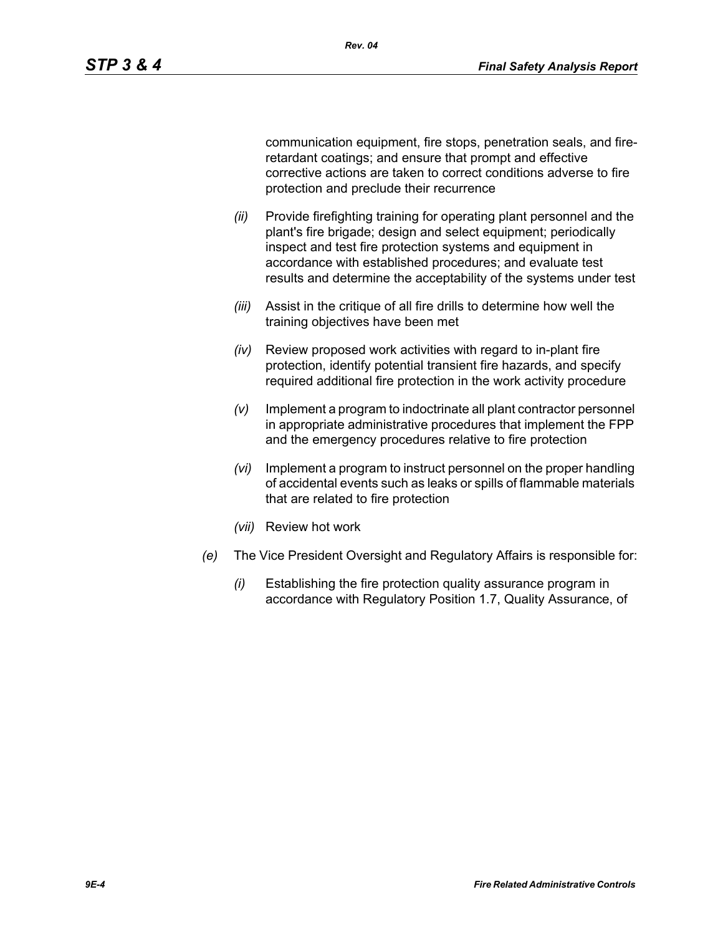communication equipment, fire stops, penetration seals, and fireretardant coatings; and ensure that prompt and effective corrective actions are taken to correct conditions adverse to fire protection and preclude their recurrence

- *(ii)* Provide firefighting training for operating plant personnel and the plant's fire brigade; design and select equipment; periodically inspect and test fire protection systems and equipment in accordance with established procedures; and evaluate test results and determine the acceptability of the systems under test
- *(iii)* Assist in the critique of all fire drills to determine how well the training objectives have been met
- *(iv)* Review proposed work activities with regard to in-plant fire protection, identify potential transient fire hazards, and specify required additional fire protection in the work activity procedure
- *(v)* Implement a program to indoctrinate all plant contractor personnel in appropriate administrative procedures that implement the FPP and the emergency procedures relative to fire protection
- *(vi)* Implement a program to instruct personnel on the proper handling of accidental events such as leaks or spills of flammable materials that are related to fire protection
- *(vii)* Review hot work
- *(e)* The Vice President Oversight and Regulatory Affairs is responsible for:
	- *(i)* Establishing the fire protection quality assurance program in accordance with Regulatory Position 1.7, Quality Assurance, of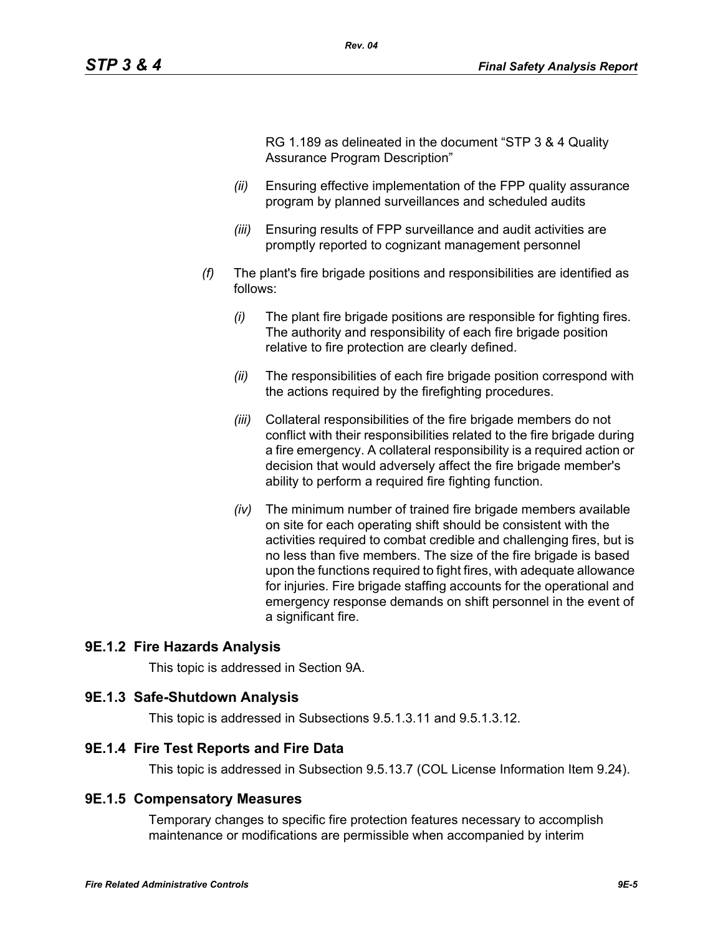RG 1.189 as delineated in the document "STP 3 & 4 Quality Assurance Program Description"

- *(ii)* Ensuring effective implementation of the FPP quality assurance program by planned surveillances and scheduled audits
- *(iii)* Ensuring results of FPP surveillance and audit activities are promptly reported to cognizant management personnel
- *(f)* The plant's fire brigade positions and responsibilities are identified as follows:
	- *(i)* The plant fire brigade positions are responsible for fighting fires. The authority and responsibility of each fire brigade position relative to fire protection are clearly defined.
	- *(ii)* The responsibilities of each fire brigade position correspond with the actions required by the firefighting procedures.
	- *(iii)* Collateral responsibilities of the fire brigade members do not conflict with their responsibilities related to the fire brigade during a fire emergency. A collateral responsibility is a required action or decision that would adversely affect the fire brigade member's ability to perform a required fire fighting function.
	- *(iv)* The minimum number of trained fire brigade members available on site for each operating shift should be consistent with the activities required to combat credible and challenging fires, but is no less than five members. The size of the fire brigade is based upon the functions required to fight fires, with adequate allowance for injuries. Fire brigade staffing accounts for the operational and emergency response demands on shift personnel in the event of a significant fire.

#### **9E.1.2 Fire Hazards Analysis**

This topic is addressed in Section 9A.

#### **9E.1.3 Safe-Shutdown Analysis**

This topic is addressed in Subsections 9.5.1.3.11 and 9.5.1.3.12.

#### **9E.1.4 Fire Test Reports and Fire Data**

This topic is addressed in Subsection 9.5.13.7 (COL License Information Item 9.24).

#### **9E.1.5 Compensatory Measures**

Temporary changes to specific fire protection features necessary to accomplish maintenance or modifications are permissible when accompanied by interim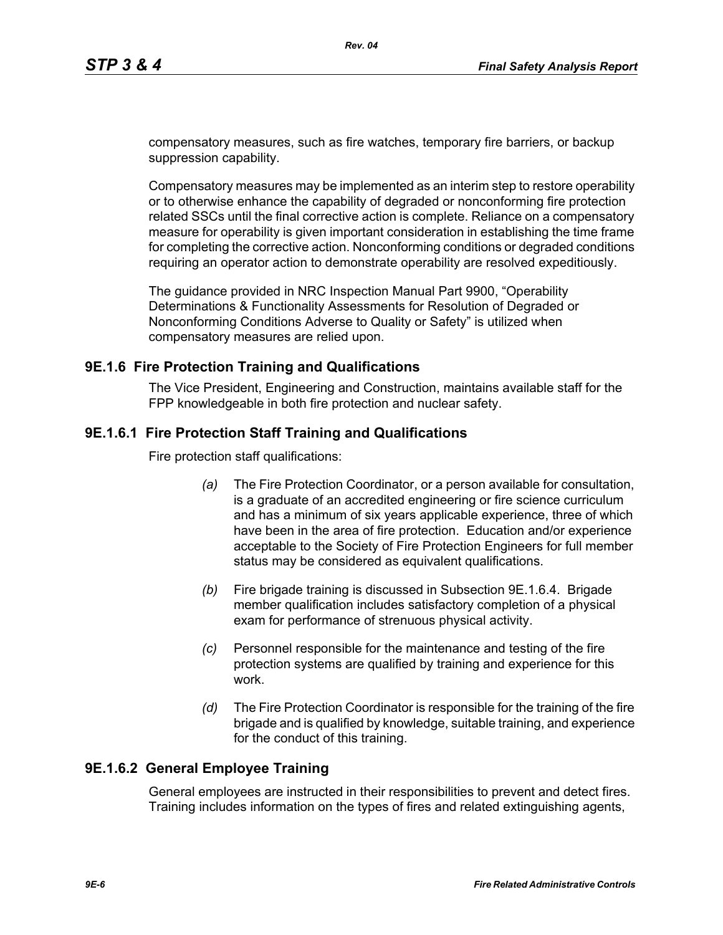compensatory measures, such as fire watches, temporary fire barriers, or backup suppression capability.

Compensatory measures may be implemented as an interim step to restore operability or to otherwise enhance the capability of degraded or nonconforming fire protection related SSCs until the final corrective action is complete. Reliance on a compensatory measure for operability is given important consideration in establishing the time frame for completing the corrective action. Nonconforming conditions or degraded conditions requiring an operator action to demonstrate operability are resolved expeditiously.

The guidance provided in NRC Inspection Manual Part 9900, "Operability Determinations & Functionality Assessments for Resolution of Degraded or Nonconforming Conditions Adverse to Quality or Safety" is utilized when compensatory measures are relied upon.

### **9E.1.6 Fire Protection Training and Qualifications**

The Vice President, Engineering and Construction, maintains available staff for the FPP knowledgeable in both fire protection and nuclear safety.

## **9E.1.6.1 Fire Protection Staff Training and Qualifications**

Fire protection staff qualifications:

- *(a)* The Fire Protection Coordinator, or a person available for consultation, is a graduate of an accredited engineering or fire science curriculum and has a minimum of six years applicable experience, three of which have been in the area of fire protection. Education and/or experience acceptable to the Society of Fire Protection Engineers for full member status may be considered as equivalent qualifications.
- *(b)* Fire brigade training is discussed in Subsection 9E.1.6.4. Brigade member qualification includes satisfactory completion of a physical exam for performance of strenuous physical activity.
- *(c)* Personnel responsible for the maintenance and testing of the fire protection systems are qualified by training and experience for this work.
- *(d)* The Fire Protection Coordinator is responsible for the training of the fire brigade and is qualified by knowledge, suitable training, and experience for the conduct of this training.

## **9E.1.6.2 General Employee Training**

General employees are instructed in their responsibilities to prevent and detect fires. Training includes information on the types of fires and related extinguishing agents,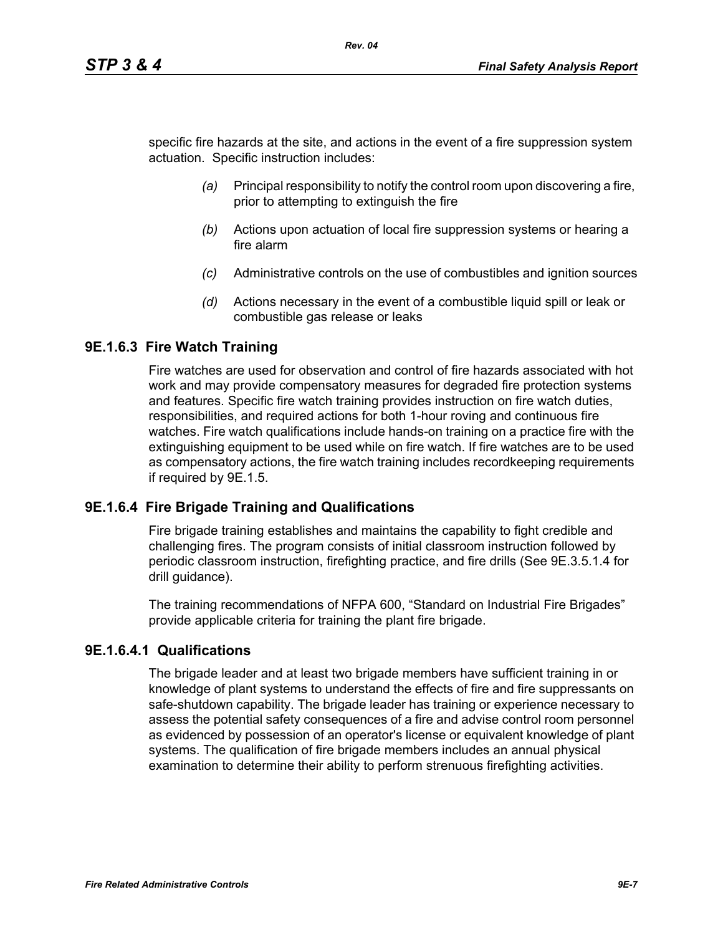specific fire hazards at the site, and actions in the event of a fire suppression system actuation. Specific instruction includes:

- *(a)* Principal responsibility to notify the control room upon discovering a fire, prior to attempting to extinguish the fire
- *(b)* Actions upon actuation of local fire suppression systems or hearing a fire alarm
- *(c)* Administrative controls on the use of combustibles and ignition sources
- *(d)* Actions necessary in the event of a combustible liquid spill or leak or combustible gas release or leaks

### **9E.1.6.3 Fire Watch Training**

Fire watches are used for observation and control of fire hazards associated with hot work and may provide compensatory measures for degraded fire protection systems and features. Specific fire watch training provides instruction on fire watch duties, responsibilities, and required actions for both 1-hour roving and continuous fire watches. Fire watch qualifications include hands-on training on a practice fire with the extinguishing equipment to be used while on fire watch. If fire watches are to be used as compensatory actions, the fire watch training includes recordkeeping requirements if required by 9E.1.5.

#### **9E.1.6.4 Fire Brigade Training and Qualifications**

Fire brigade training establishes and maintains the capability to fight credible and challenging fires. The program consists of initial classroom instruction followed by periodic classroom instruction, firefighting practice, and fire drills (See 9E.3.5.1.4 for drill guidance).

The training recommendations of NFPA 600, "Standard on Industrial Fire Brigades" provide applicable criteria for training the plant fire brigade.

### **9E.1.6.4.1 Qualifications**

The brigade leader and at least two brigade members have sufficient training in or knowledge of plant systems to understand the effects of fire and fire suppressants on safe-shutdown capability. The brigade leader has training or experience necessary to assess the potential safety consequences of a fire and advise control room personnel as evidenced by possession of an operator's license or equivalent knowledge of plant systems. The qualification of fire brigade members includes an annual physical examination to determine their ability to perform strenuous firefighting activities.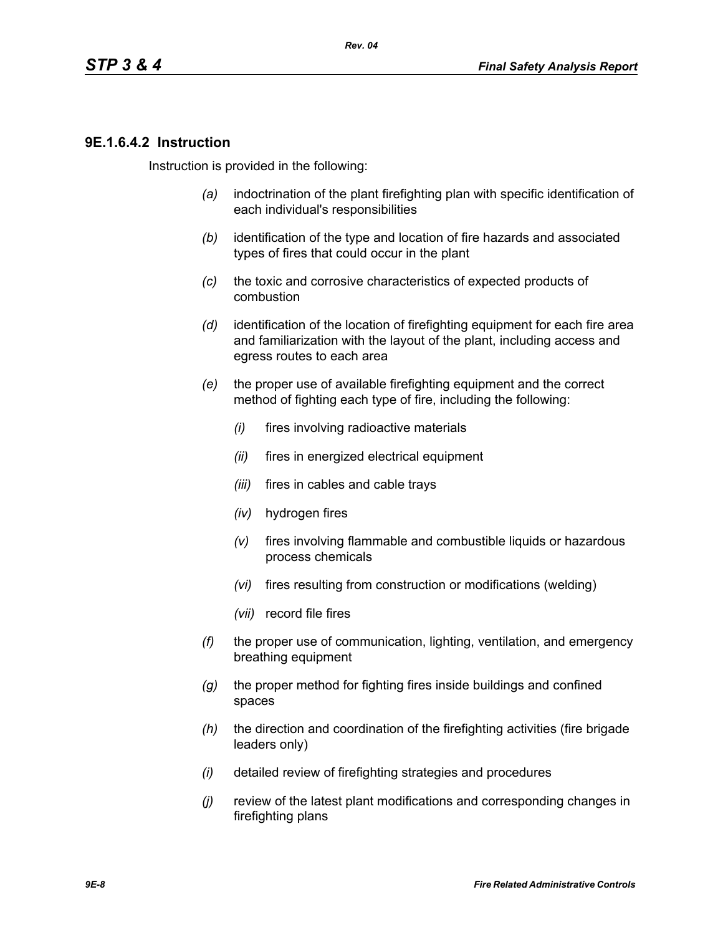### **9E.1.6.4.2 Instruction**

Instruction is provided in the following:

- *(a)* indoctrination of the plant firefighting plan with specific identification of each individual's responsibilities
- *(b)* identification of the type and location of fire hazards and associated types of fires that could occur in the plant
- *(c)* the toxic and corrosive characteristics of expected products of combustion
- *(d)* identification of the location of firefighting equipment for each fire area and familiarization with the layout of the plant, including access and egress routes to each area
- *(e)* the proper use of available firefighting equipment and the correct method of fighting each type of fire, including the following:
	- *(i)* fires involving radioactive materials
	- *(ii)* fires in energized electrical equipment
	- *(iii)* fires in cables and cable trays
	- *(iv)* hydrogen fires
	- *(v)* fires involving flammable and combustible liquids or hazardous process chemicals
	- *(vi)* fires resulting from construction or modifications (welding)
	- *(vii)* record file fires
- *(f)* the proper use of communication, lighting, ventilation, and emergency breathing equipment
- *(g)* the proper method for fighting fires inside buildings and confined spaces
- *(h)* the direction and coordination of the firefighting activities (fire brigade leaders only)
- *(i)* detailed review of firefighting strategies and procedures
- *(j)* review of the latest plant modifications and corresponding changes in firefighting plans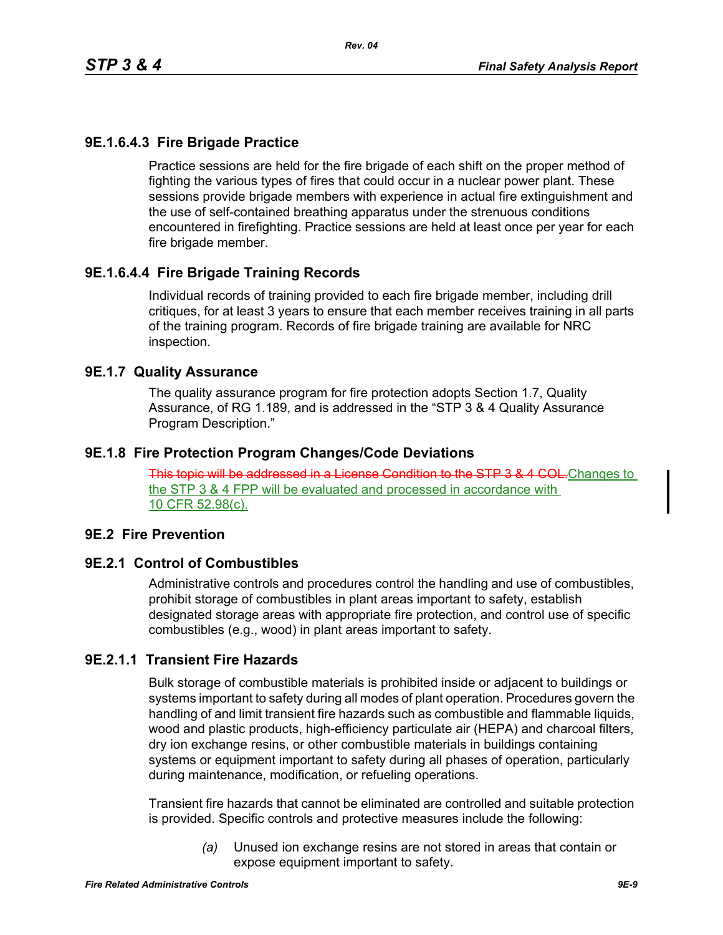## **9E.1.6.4.3 Fire Brigade Practice**

Practice sessions are held for the fire brigade of each shift on the proper method of fighting the various types of fires that could occur in a nuclear power plant. These sessions provide brigade members with experience in actual fire extinguishment and the use of self-contained breathing apparatus under the strenuous conditions encountered in firefighting. Practice sessions are held at least once per year for each fire brigade member.

# **9E.1.6.4.4 Fire Brigade Training Records**

Individual records of training provided to each fire brigade member, including drill critiques, for at least 3 years to ensure that each member receives training in all parts of the training program. Records of fire brigade training are available for NRC inspection.

#### **9E.1.7 Quality Assurance**

The quality assurance program for fire protection adopts Section 1.7, Quality Assurance, of RG 1.189, and is addressed in the "STP 3 & 4 Quality Assurance Program Description."

### **9E.1.8 Fire Protection Program Changes/Code Deviations**

This topic will be addressed in a License Condition to the STP 3 & 4 COL. Changes to the STP 3 & 4 FPP will be evaluated and processed in accordance with 10 CFR 52.98(c).

#### **9E.2 Fire Prevention**

#### **9E.2.1 Control of Combustibles**

Administrative controls and procedures control the handling and use of combustibles, prohibit storage of combustibles in plant areas important to safety, establish designated storage areas with appropriate fire protection, and control use of specific combustibles (e.g., wood) in plant areas important to safety.

### **9E.2.1.1 Transient Fire Hazards**

Bulk storage of combustible materials is prohibited inside or adjacent to buildings or systems important to safety during all modes of plant operation. Procedures govern the handling of and limit transient fire hazards such as combustible and flammable liquids, wood and plastic products, high-efficiency particulate air (HEPA) and charcoal filters, dry ion exchange resins, or other combustible materials in buildings containing systems or equipment important to safety during all phases of operation, particularly during maintenance, modification, or refueling operations.

Transient fire hazards that cannot be eliminated are controlled and suitable protection is provided. Specific controls and protective measures include the following:

> *(a)* Unused ion exchange resins are not stored in areas that contain or expose equipment important to safety.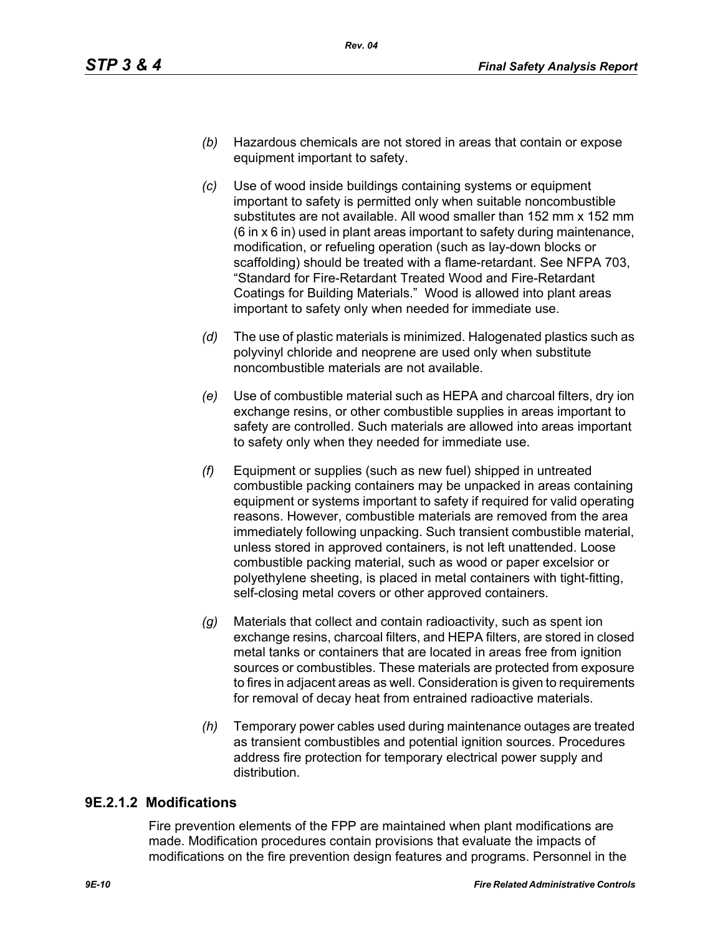- *(b)* Hazardous chemicals are not stored in areas that contain or expose equipment important to safety.
- *(c)* Use of wood inside buildings containing systems or equipment important to safety is permitted only when suitable noncombustible substitutes are not available. All wood smaller than 152 mm x 152 mm (6 in x 6 in) used in plant areas important to safety during maintenance, modification, or refueling operation (such as lay-down blocks or scaffolding) should be treated with a flame-retardant. See NFPA 703, "Standard for Fire-Retardant Treated Wood and Fire-Retardant Coatings for Building Materials." Wood is allowed into plant areas important to safety only when needed for immediate use.
- *(d)* The use of plastic materials is minimized. Halogenated plastics such as polyvinyl chloride and neoprene are used only when substitute noncombustible materials are not available.
- *(e)* Use of combustible material such as HEPA and charcoal filters, dry ion exchange resins, or other combustible supplies in areas important to safety are controlled. Such materials are allowed into areas important to safety only when they needed for immediate use.
- *(f)* Equipment or supplies (such as new fuel) shipped in untreated combustible packing containers may be unpacked in areas containing equipment or systems important to safety if required for valid operating reasons. However, combustible materials are removed from the area immediately following unpacking. Such transient combustible material, unless stored in approved containers, is not left unattended. Loose combustible packing material, such as wood or paper excelsior or polyethylene sheeting, is placed in metal containers with tight-fitting, self-closing metal covers or other approved containers.
- *(g)* Materials that collect and contain radioactivity, such as spent ion exchange resins, charcoal filters, and HEPA filters, are stored in closed metal tanks or containers that are located in areas free from ignition sources or combustibles. These materials are protected from exposure to fires in adjacent areas as well. Consideration is given to requirements for removal of decay heat from entrained radioactive materials.
- *(h)* Temporary power cables used during maintenance outages are treated as transient combustibles and potential ignition sources. Procedures address fire protection for temporary electrical power supply and distribution.

## **9E.2.1.2 Modifications**

Fire prevention elements of the FPP are maintained when plant modifications are made. Modification procedures contain provisions that evaluate the impacts of modifications on the fire prevention design features and programs. Personnel in the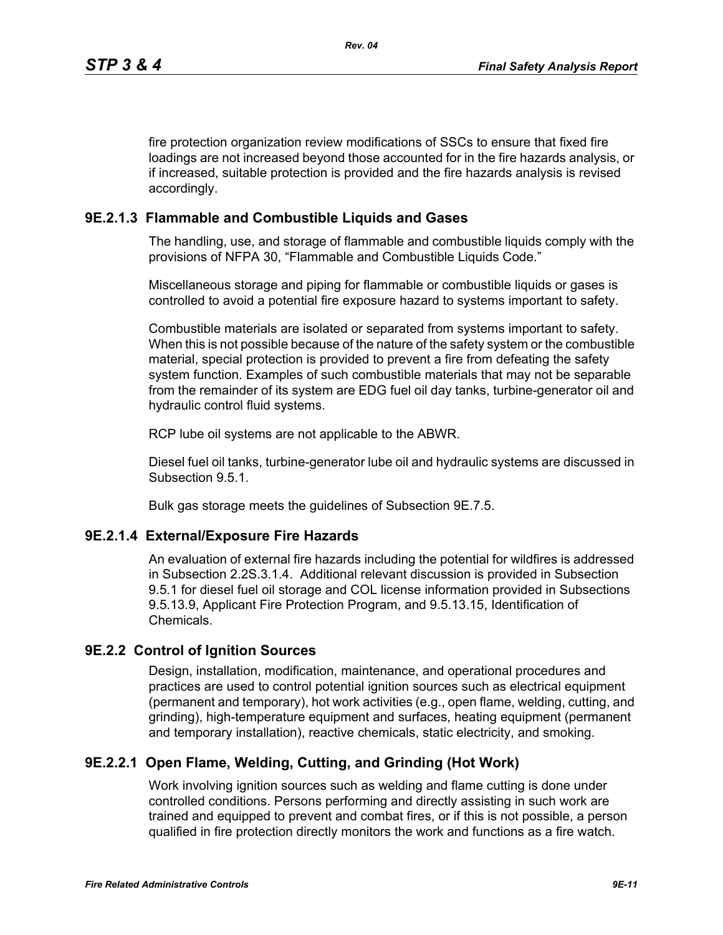fire protection organization review modifications of SSCs to ensure that fixed fire loadings are not increased beyond those accounted for in the fire hazards analysis, or if increased, suitable protection is provided and the fire hazards analysis is revised accordingly.

### **9E.2.1.3 Flammable and Combustible Liquids and Gases**

The handling, use, and storage of flammable and combustible liquids comply with the provisions of NFPA 30, "Flammable and Combustible Liquids Code."

Miscellaneous storage and piping for flammable or combustible liquids or gases is controlled to avoid a potential fire exposure hazard to systems important to safety.

Combustible materials are isolated or separated from systems important to safety. When this is not possible because of the nature of the safety system or the combustible material, special protection is provided to prevent a fire from defeating the safety system function. Examples of such combustible materials that may not be separable from the remainder of its system are EDG fuel oil day tanks, turbine-generator oil and hydraulic control fluid systems.

RCP lube oil systems are not applicable to the ABWR.

Diesel fuel oil tanks, turbine-generator lube oil and hydraulic systems are discussed in Subsection 9.5.1.

Bulk gas storage meets the guidelines of Subsection 9E.7.5.

#### **9E.2.1.4 External/Exposure Fire Hazards**

An evaluation of external fire hazards including the potential for wildfires is addressed in Subsection 2.2S.3.1.4. Additional relevant discussion is provided in Subsection 9.5.1 for diesel fuel oil storage and COL license information provided in Subsections 9.5.13.9, Applicant Fire Protection Program, and 9.5.13.15, Identification of Chemicals.

#### **9E.2.2 Control of Ignition Sources**

Design, installation, modification, maintenance, and operational procedures and practices are used to control potential ignition sources such as electrical equipment (permanent and temporary), hot work activities (e.g., open flame, welding, cutting, and grinding), high-temperature equipment and surfaces, heating equipment (permanent and temporary installation), reactive chemicals, static electricity, and smoking.

### **9E.2.2.1 Open Flame, Welding, Cutting, and Grinding (Hot Work)**

Work involving ignition sources such as welding and flame cutting is done under controlled conditions. Persons performing and directly assisting in such work are trained and equipped to prevent and combat fires, or if this is not possible, a person qualified in fire protection directly monitors the work and functions as a fire watch.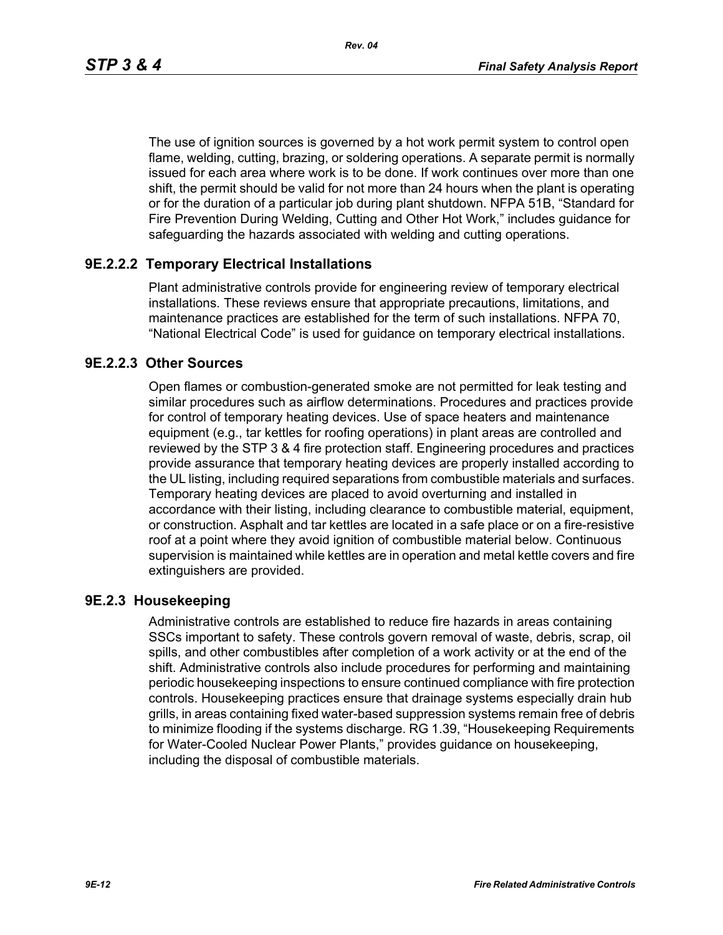*Rev. 04*

The use of ignition sources is governed by a hot work permit system to control open flame, welding, cutting, brazing, or soldering operations. A separate permit is normally issued for each area where work is to be done. If work continues over more than one shift, the permit should be valid for not more than 24 hours when the plant is operating or for the duration of a particular job during plant shutdown. NFPA 51B, "Standard for Fire Prevention During Welding, Cutting and Other Hot Work," includes guidance for safeguarding the hazards associated with welding and cutting operations.

# **9E.2.2.2 Temporary Electrical Installations**

Plant administrative controls provide for engineering review of temporary electrical installations. These reviews ensure that appropriate precautions, limitations, and maintenance practices are established for the term of such installations. NFPA 70, "National Electrical Code" is used for guidance on temporary electrical installations.

# **9E.2.2.3 Other Sources**

Open flames or combustion-generated smoke are not permitted for leak testing and similar procedures such as airflow determinations. Procedures and practices provide for control of temporary heating devices. Use of space heaters and maintenance equipment (e.g., tar kettles for roofing operations) in plant areas are controlled and reviewed by the STP 3 & 4 fire protection staff. Engineering procedures and practices provide assurance that temporary heating devices are properly installed according to the UL listing, including required separations from combustible materials and surfaces. Temporary heating devices are placed to avoid overturning and installed in accordance with their listing, including clearance to combustible material, equipment, or construction. Asphalt and tar kettles are located in a safe place or on a fire-resistive roof at a point where they avoid ignition of combustible material below. Continuous supervision is maintained while kettles are in operation and metal kettle covers and fire extinguishers are provided.

## **9E.2.3 Housekeeping**

Administrative controls are established to reduce fire hazards in areas containing SSCs important to safety. These controls govern removal of waste, debris, scrap, oil spills, and other combustibles after completion of a work activity or at the end of the shift. Administrative controls also include procedures for performing and maintaining periodic housekeeping inspections to ensure continued compliance with fire protection controls. Housekeeping practices ensure that drainage systems especially drain hub grills, in areas containing fixed water-based suppression systems remain free of debris to minimize flooding if the systems discharge. RG 1.39, "Housekeeping Requirements for Water-Cooled Nuclear Power Plants," provides guidance on housekeeping, including the disposal of combustible materials.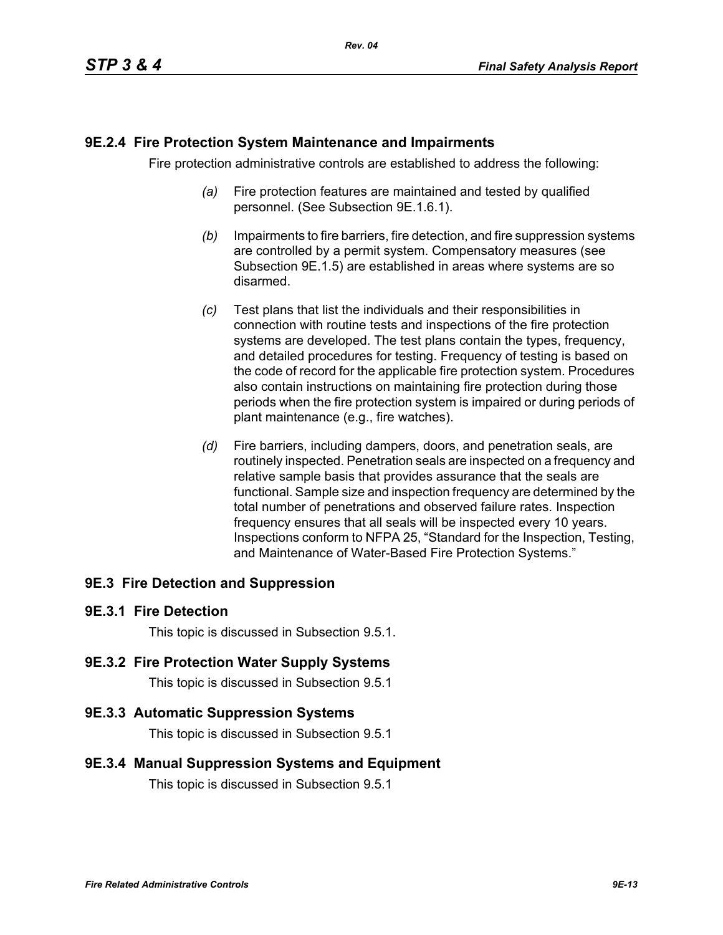### **9E.2.4 Fire Protection System Maintenance and Impairments**

Fire protection administrative controls are established to address the following:

- *(a)* Fire protection features are maintained and tested by qualified personnel. (See Subsection 9E.1.6.1).
- *(b)* Impairments to fire barriers, fire detection, and fire suppression systems are controlled by a permit system. Compensatory measures (see Subsection 9E.1.5) are established in areas where systems are so disarmed.
- *(c)* Test plans that list the individuals and their responsibilities in connection with routine tests and inspections of the fire protection systems are developed. The test plans contain the types, frequency, and detailed procedures for testing. Frequency of testing is based on the code of record for the applicable fire protection system. Procedures also contain instructions on maintaining fire protection during those periods when the fire protection system is impaired or during periods of plant maintenance (e.g., fire watches).
- *(d)* Fire barriers, including dampers, doors, and penetration seals, are routinely inspected. Penetration seals are inspected on a frequency and relative sample basis that provides assurance that the seals are functional. Sample size and inspection frequency are determined by the total number of penetrations and observed failure rates. Inspection frequency ensures that all seals will be inspected every 10 years. Inspections conform to NFPA 25, "Standard for the Inspection, Testing, and Maintenance of Water-Based Fire Protection Systems."

## **9E.3 Fire Detection and Suppression**

#### **9E.3.1 Fire Detection**

This topic is discussed in Subsection 9.5.1.

#### **9E.3.2 Fire Protection Water Supply Systems**

This topic is discussed in Subsection 9.5.1

#### **9E.3.3 Automatic Suppression Systems**

This topic is discussed in Subsection 9.5.1

#### **9E.3.4 Manual Suppression Systems and Equipment**

This topic is discussed in Subsection 9.5.1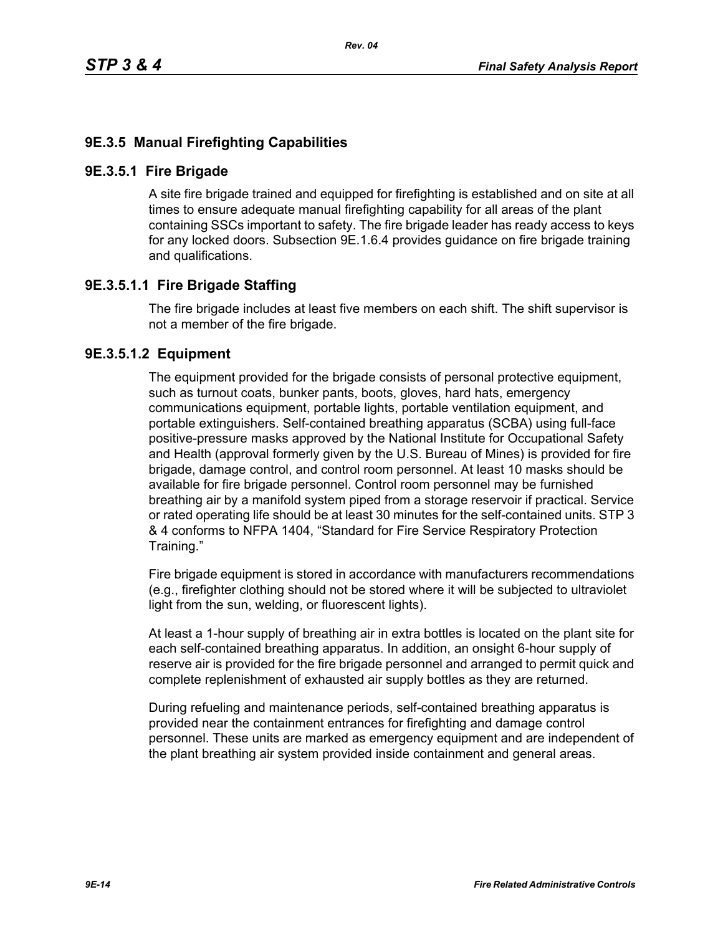## **9E.3.5 Manual Firefighting Capabilities**

#### **9E.3.5.1 Fire Brigade**

A site fire brigade trained and equipped for firefighting is established and on site at all times to ensure adequate manual firefighting capability for all areas of the plant containing SSCs important to safety. The fire brigade leader has ready access to keys for any locked doors. Subsection 9E.1.6.4 provides guidance on fire brigade training and qualifications.

## **9E.3.5.1.1 Fire Brigade Staffing**

The fire brigade includes at least five members on each shift. The shift supervisor is not a member of the fire brigade.

### **9E.3.5.1.2 Equipment**

The equipment provided for the brigade consists of personal protective equipment, such as turnout coats, bunker pants, boots, gloves, hard hats, emergency communications equipment, portable lights, portable ventilation equipment, and portable extinguishers. Self-contained breathing apparatus (SCBA) using full-face positive-pressure masks approved by the National Institute for Occupational Safety and Health (approval formerly given by the U.S. Bureau of Mines) is provided for fire brigade, damage control, and control room personnel. At least 10 masks should be available for fire brigade personnel. Control room personnel may be furnished breathing air by a manifold system piped from a storage reservoir if practical. Service or rated operating life should be at least 30 minutes for the self-contained units. STP 3 & 4 conforms to NFPA 1404, "Standard for Fire Service Respiratory Protection Training."

Fire brigade equipment is stored in accordance with manufacturers recommendations (e.g., firefighter clothing should not be stored where it will be subjected to ultraviolet light from the sun, welding, or fluorescent lights).

At least a 1-hour supply of breathing air in extra bottles is located on the plant site for each self-contained breathing apparatus. In addition, an onsight 6-hour supply of reserve air is provided for the fire brigade personnel and arranged to permit quick and complete replenishment of exhausted air supply bottles as they are returned.

During refueling and maintenance periods, self-contained breathing apparatus is provided near the containment entrances for firefighting and damage control personnel. These units are marked as emergency equipment and are independent of the plant breathing air system provided inside containment and general areas.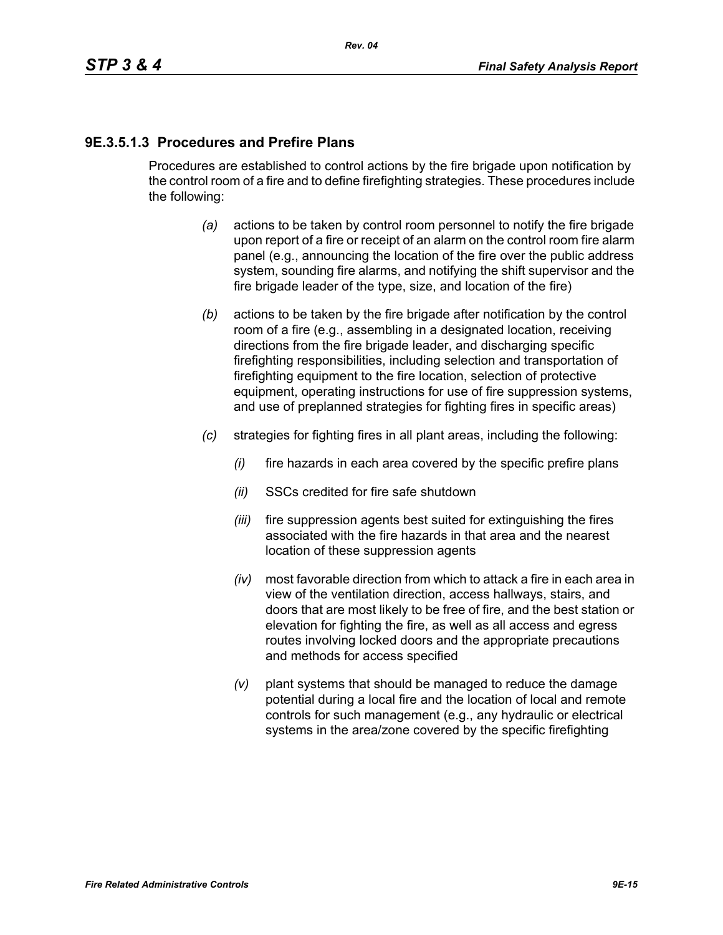# **9E.3.5.1.3 Procedures and Prefire Plans**

Procedures are established to control actions by the fire brigade upon notification by the control room of a fire and to define firefighting strategies. These procedures include the following:

- *(a)* actions to be taken by control room personnel to notify the fire brigade upon report of a fire or receipt of an alarm on the control room fire alarm panel (e.g., announcing the location of the fire over the public address system, sounding fire alarms, and notifying the shift supervisor and the fire brigade leader of the type, size, and location of the fire)
- *(b)* actions to be taken by the fire brigade after notification by the control room of a fire (e.g., assembling in a designated location, receiving directions from the fire brigade leader, and discharging specific firefighting responsibilities, including selection and transportation of firefighting equipment to the fire location, selection of protective equipment, operating instructions for use of fire suppression systems, and use of preplanned strategies for fighting fires in specific areas)
- *(c)* strategies for fighting fires in all plant areas, including the following:
	- *(i)* fire hazards in each area covered by the specific prefire plans
	- *(ii)* SSCs credited for fire safe shutdown
	- *(iii)* fire suppression agents best suited for extinguishing the fires associated with the fire hazards in that area and the nearest location of these suppression agents
	- *(iv)* most favorable direction from which to attack a fire in each area in view of the ventilation direction, access hallways, stairs, and doors that are most likely to be free of fire, and the best station or elevation for fighting the fire, as well as all access and egress routes involving locked doors and the appropriate precautions and methods for access specified
	- *(v)* plant systems that should be managed to reduce the damage potential during a local fire and the location of local and remote controls for such management (e.g., any hydraulic or electrical systems in the area/zone covered by the specific firefighting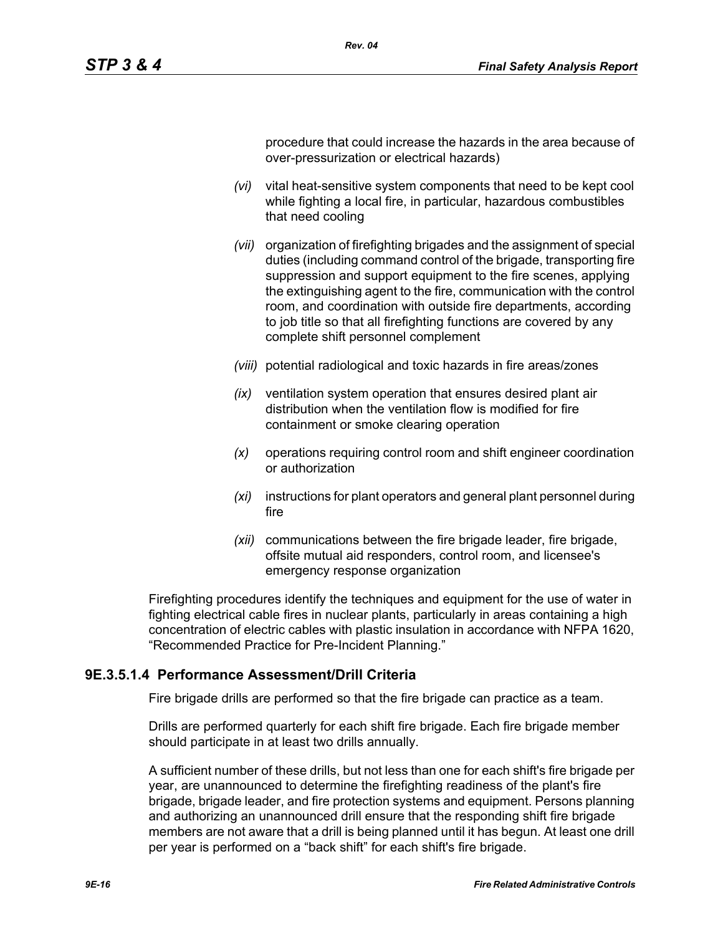procedure that could increase the hazards in the area because of over-pressurization or electrical hazards)

- *(vi)* vital heat-sensitive system components that need to be kept cool while fighting a local fire, in particular, hazardous combustibles that need cooling
- *(vii)* organization of firefighting brigades and the assignment of special duties (including command control of the brigade, transporting fire suppression and support equipment to the fire scenes, applying the extinguishing agent to the fire, communication with the control room, and coordination with outside fire departments, according to job title so that all firefighting functions are covered by any complete shift personnel complement
- *(viii)* potential radiological and toxic hazards in fire areas/zones
- *(ix)* ventilation system operation that ensures desired plant air distribution when the ventilation flow is modified for fire containment or smoke clearing operation
- *(x)* operations requiring control room and shift engineer coordination or authorization
- *(xi)* instructions for plant operators and general plant personnel during fire
- *(xii)* communications between the fire brigade leader, fire brigade, offsite mutual aid responders, control room, and licensee's emergency response organization

Firefighting procedures identify the techniques and equipment for the use of water in fighting electrical cable fires in nuclear plants, particularly in areas containing a high concentration of electric cables with plastic insulation in accordance with NFPA 1620, "Recommended Practice for Pre-Incident Planning."

#### **9E.3.5.1.4 Performance Assessment/Drill Criteria**

Fire brigade drills are performed so that the fire brigade can practice as a team.

Drills are performed quarterly for each shift fire brigade. Each fire brigade member should participate in at least two drills annually.

A sufficient number of these drills, but not less than one for each shift's fire brigade per year, are unannounced to determine the firefighting readiness of the plant's fire brigade, brigade leader, and fire protection systems and equipment. Persons planning and authorizing an unannounced drill ensure that the responding shift fire brigade members are not aware that a drill is being planned until it has begun. At least one drill per year is performed on a "back shift" for each shift's fire brigade.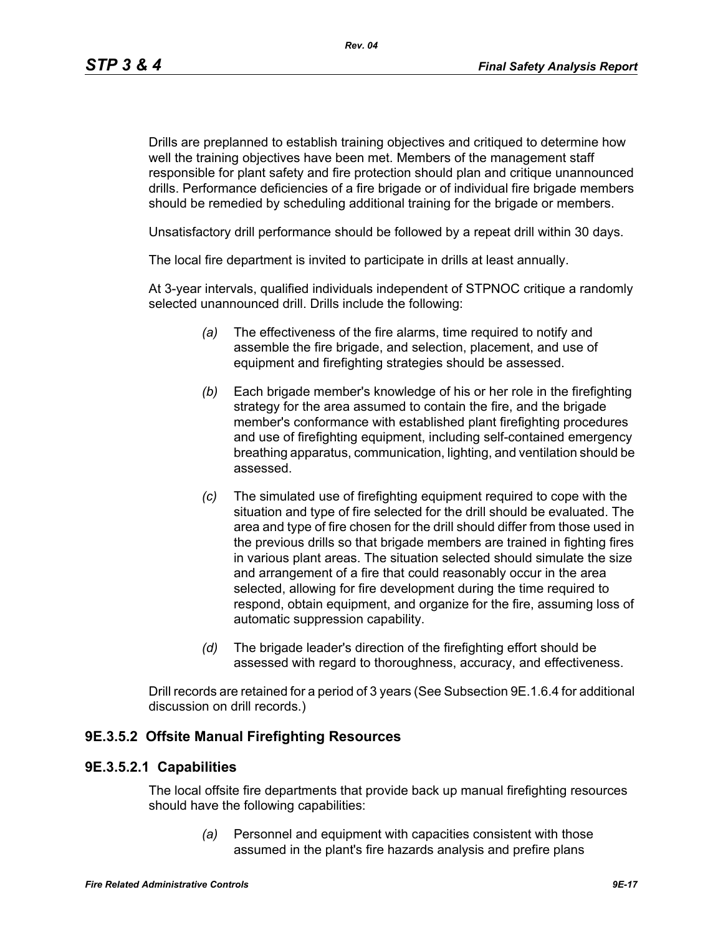*Rev. 04*

Drills are preplanned to establish training objectives and critiqued to determine how well the training objectives have been met. Members of the management staff responsible for plant safety and fire protection should plan and critique unannounced drills. Performance deficiencies of a fire brigade or of individual fire brigade members should be remedied by scheduling additional training for the brigade or members.

Unsatisfactory drill performance should be followed by a repeat drill within 30 days.

The local fire department is invited to participate in drills at least annually.

At 3-year intervals, qualified individuals independent of STPNOC critique a randomly selected unannounced drill. Drills include the following:

- *(a)* The effectiveness of the fire alarms, time required to notify and assemble the fire brigade, and selection, placement, and use of equipment and firefighting strategies should be assessed.
- *(b)* Each brigade member's knowledge of his or her role in the firefighting strategy for the area assumed to contain the fire, and the brigade member's conformance with established plant firefighting procedures and use of firefighting equipment, including self-contained emergency breathing apparatus, communication, lighting, and ventilation should be assessed.
- *(c)* The simulated use of firefighting equipment required to cope with the situation and type of fire selected for the drill should be evaluated. The area and type of fire chosen for the drill should differ from those used in the previous drills so that brigade members are trained in fighting fires in various plant areas. The situation selected should simulate the size and arrangement of a fire that could reasonably occur in the area selected, allowing for fire development during the time required to respond, obtain equipment, and organize for the fire, assuming loss of automatic suppression capability.
- *(d)* The brigade leader's direction of the firefighting effort should be assessed with regard to thoroughness, accuracy, and effectiveness.

Drill records are retained for a period of 3 years (See Subsection 9E.1.6.4 for additional discussion on drill records.)

## **9E.3.5.2 Offsite Manual Firefighting Resources**

#### **9E.3.5.2.1 Capabilities**

The local offsite fire departments that provide back up manual firefighting resources should have the following capabilities:

> *(a)* Personnel and equipment with capacities consistent with those assumed in the plant's fire hazards analysis and prefire plans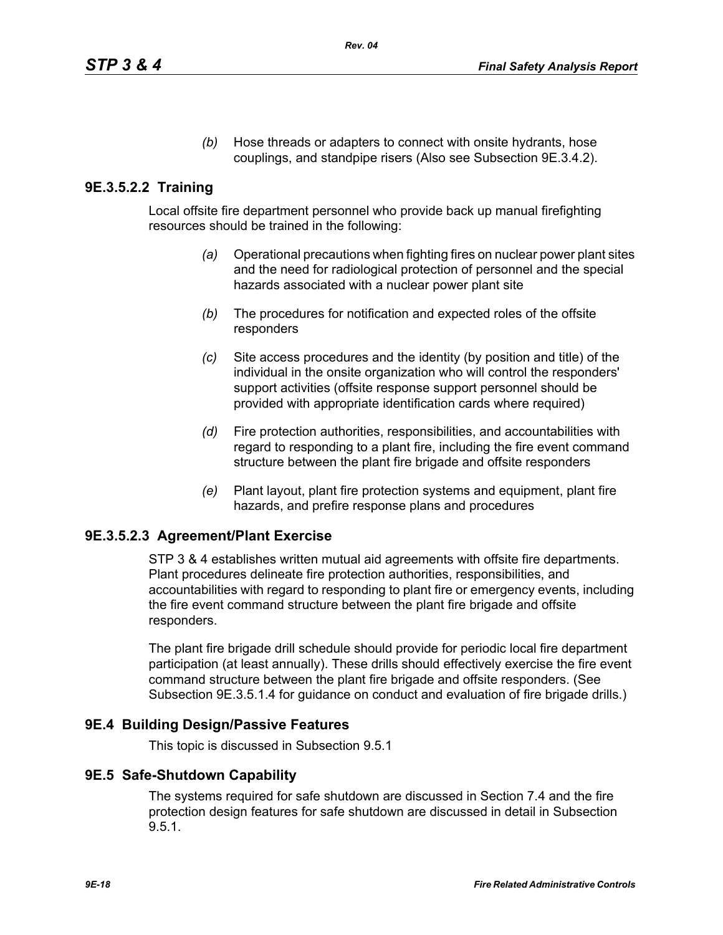*(b)* Hose threads or adapters to connect with onsite hydrants, hose couplings, and standpipe risers (Also see Subsection 9E.3.4.2).

## **9E.3.5.2.2 Training**

Local offsite fire department personnel who provide back up manual firefighting resources should be trained in the following:

- *(a)* Operational precautions when fighting fires on nuclear power plant sites and the need for radiological protection of personnel and the special hazards associated with a nuclear power plant site
- *(b)* The procedures for notification and expected roles of the offsite responders
- *(c)* Site access procedures and the identity (by position and title) of the individual in the onsite organization who will control the responders' support activities (offsite response support personnel should be provided with appropriate identification cards where required)
- *(d)* Fire protection authorities, responsibilities, and accountabilities with regard to responding to a plant fire, including the fire event command structure between the plant fire brigade and offsite responders
- *(e)* Plant layout, plant fire protection systems and equipment, plant fire hazards, and prefire response plans and procedures

## **9E.3.5.2.3 Agreement/Plant Exercise**

STP 3 & 4 establishes written mutual aid agreements with offsite fire departments. Plant procedures delineate fire protection authorities, responsibilities, and accountabilities with regard to responding to plant fire or emergency events, including the fire event command structure between the plant fire brigade and offsite responders.

The plant fire brigade drill schedule should provide for periodic local fire department participation (at least annually). These drills should effectively exercise the fire event command structure between the plant fire brigade and offsite responders. (See Subsection 9E.3.5.1.4 for guidance on conduct and evaluation of fire brigade drills.)

## **9E.4 Building Design/Passive Features**

This topic is discussed in Subsection 9.5.1

#### **9E.5 Safe-Shutdown Capability**

The systems required for safe shutdown are discussed in Section 7.4 and the fire protection design features for safe shutdown are discussed in detail in Subsection 9.5.1.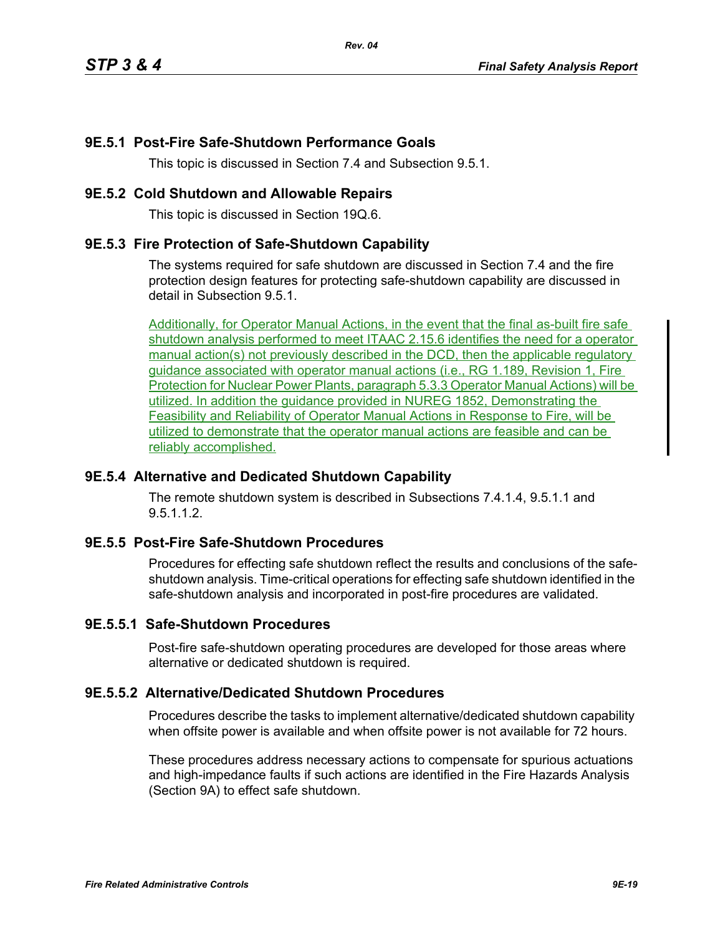### **9E.5.1 Post-Fire Safe-Shutdown Performance Goals**

This topic is discussed in Section 7.4 and Subsection 9.5.1.

#### **9E.5.2 Cold Shutdown and Allowable Repairs**

This topic is discussed in Section 19Q.6.

#### **9E.5.3 Fire Protection of Safe-Shutdown Capability**

The systems required for safe shutdown are discussed in Section 7.4 and the fire protection design features for protecting safe-shutdown capability are discussed in detail in Subsection 9.5.1.

Additionally, for Operator Manual Actions, in the event that the final as-built fire safe shutdown analysis performed to meet ITAAC 2.15.6 identifies the need for a operator manual action(s) not previously described in the DCD, then the applicable regulatory guidance associated with operator manual actions (i.e., RG 1.189, Revision 1, Fire Protection for Nuclear Power Plants, paragraph 5.3.3 Operator Manual Actions) will be utilized. In addition the guidance provided in NUREG 1852, Demonstrating the Feasibility and Reliability of Operator Manual Actions in Response to Fire, will be utilized to demonstrate that the operator manual actions are feasible and can be reliably accomplished.

#### **9E.5.4 Alternative and Dedicated Shutdown Capability**

The remote shutdown system is described in Subsections 7.4.1.4, 9.5.1.1 and 9.5112

#### **9E.5.5 Post-Fire Safe-Shutdown Procedures**

Procedures for effecting safe shutdown reflect the results and conclusions of the safeshutdown analysis. Time-critical operations for effecting safe shutdown identified in the safe-shutdown analysis and incorporated in post-fire procedures are validated.

#### **9E.5.5.1 Safe-Shutdown Procedures**

Post-fire safe-shutdown operating procedures are developed for those areas where alternative or dedicated shutdown is required.

#### **9E.5.5.2 Alternative/Dedicated Shutdown Procedures**

Procedures describe the tasks to implement alternative/dedicated shutdown capability when offsite power is available and when offsite power is not available for 72 hours.

These procedures address necessary actions to compensate for spurious actuations and high-impedance faults if such actions are identified in the Fire Hazards Analysis (Section 9A) to effect safe shutdown.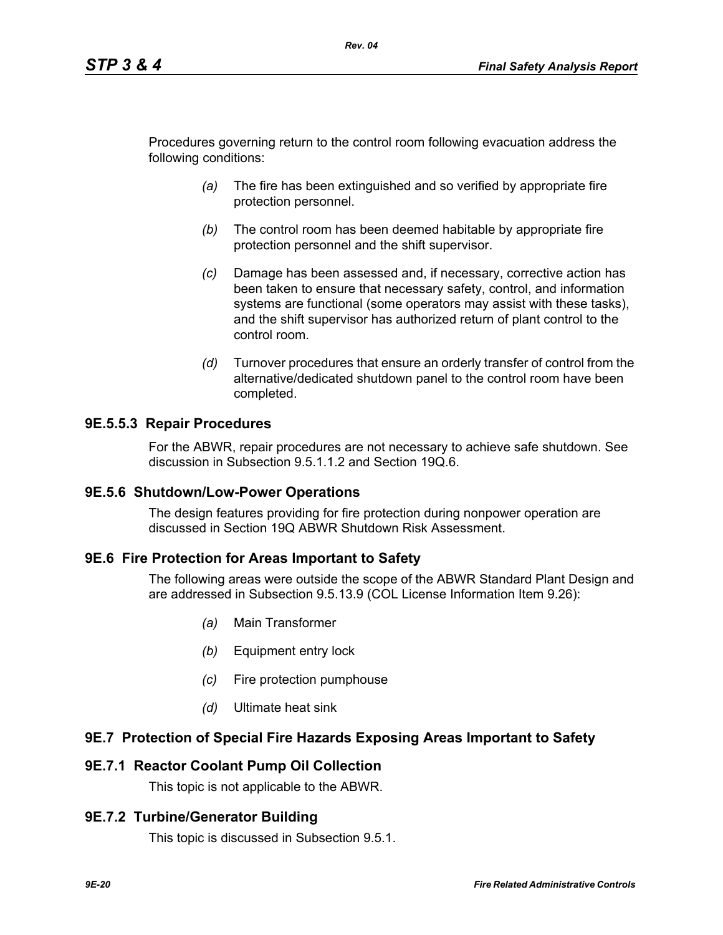Procedures governing return to the control room following evacuation address the following conditions:

*Rev. 04*

- *(a)* The fire has been extinguished and so verified by appropriate fire protection personnel.
- *(b)* The control room has been deemed habitable by appropriate fire protection personnel and the shift supervisor.
- *(c)* Damage has been assessed and, if necessary, corrective action has been taken to ensure that necessary safety, control, and information systems are functional (some operators may assist with these tasks), and the shift supervisor has authorized return of plant control to the control room.
- *(d)* Turnover procedures that ensure an orderly transfer of control from the alternative/dedicated shutdown panel to the control room have been completed.

### **9E.5.5.3 Repair Procedures**

For the ABWR, repair procedures are not necessary to achieve safe shutdown. See discussion in Subsection 9.5.1.1.2 and Section 19Q.6.

#### **9E.5.6 Shutdown/Low-Power Operations**

The design features providing for fire protection during nonpower operation are discussed in Section 19Q ABWR Shutdown Risk Assessment.

#### **9E.6 Fire Protection for Areas Important to Safety**

The following areas were outside the scope of the ABWR Standard Plant Design and are addressed in Subsection 9.5.13.9 (COL License Information Item 9.26):

- *(a)* Main Transformer
- *(b)* Equipment entry lock
- *(c)* Fire protection pumphouse
- *(d)* Ultimate heat sink

#### **9E.7 Protection of Special Fire Hazards Exposing Areas Important to Safety**

### **9E.7.1 Reactor Coolant Pump Oil Collection**

This topic is not applicable to the ABWR.

#### **9E.7.2 Turbine/Generator Building**

This topic is discussed in Subsection 9.5.1.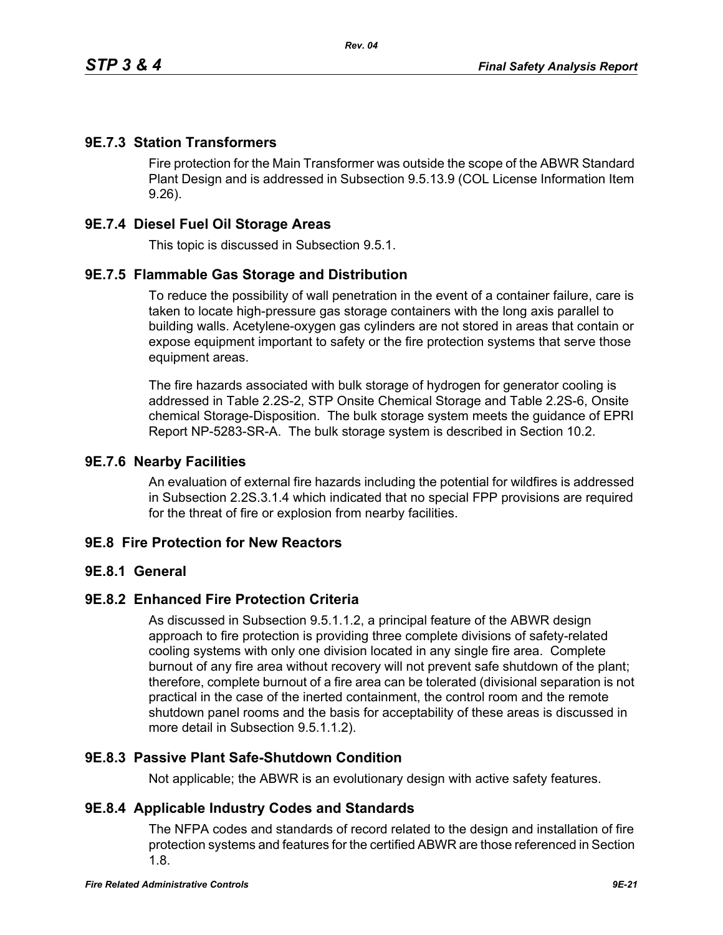### **9E.7.3 Station Transformers**

Fire protection for the Main Transformer was outside the scope of the ABWR Standard Plant Design and is addressed in Subsection 9.5.13.9 (COL License Information Item 9.26).

### **9E.7.4 Diesel Fuel Oil Storage Areas**

This topic is discussed in Subsection 9.5.1.

### **9E.7.5 Flammable Gas Storage and Distribution**

To reduce the possibility of wall penetration in the event of a container failure, care is taken to locate high-pressure gas storage containers with the long axis parallel to building walls. Acetylene-oxygen gas cylinders are not stored in areas that contain or expose equipment important to safety or the fire protection systems that serve those equipment areas.

The fire hazards associated with bulk storage of hydrogen for generator cooling is addressed in Table 2.2S-2, STP Onsite Chemical Storage and Table 2.2S-6, Onsite chemical Storage-Disposition. The bulk storage system meets the guidance of EPRI Report NP-5283-SR-A. The bulk storage system is described in Section 10.2.

#### **9E.7.6 Nearby Facilities**

An evaluation of external fire hazards including the potential for wildfires is addressed in Subsection 2.2S.3.1.4 which indicated that no special FPP provisions are required for the threat of fire or explosion from nearby facilities.

#### **9E.8 Fire Protection for New Reactors**

#### **9E.8.1 General**

### **9E.8.2 Enhanced Fire Protection Criteria**

As discussed in Subsection 9.5.1.1.2, a principal feature of the ABWR design approach to fire protection is providing three complete divisions of safety-related cooling systems with only one division located in any single fire area. Complete burnout of any fire area without recovery will not prevent safe shutdown of the plant; therefore, complete burnout of a fire area can be tolerated (divisional separation is not practical in the case of the inerted containment, the control room and the remote shutdown panel rooms and the basis for acceptability of these areas is discussed in more detail in Subsection 9.5.1.1.2).

### **9E.8.3 Passive Plant Safe-Shutdown Condition**

Not applicable; the ABWR is an evolutionary design with active safety features.

#### **9E.8.4 Applicable Industry Codes and Standards**

The NFPA codes and standards of record related to the design and installation of fire protection systems and features for the certified ABWR are those referenced in Section 1.8.